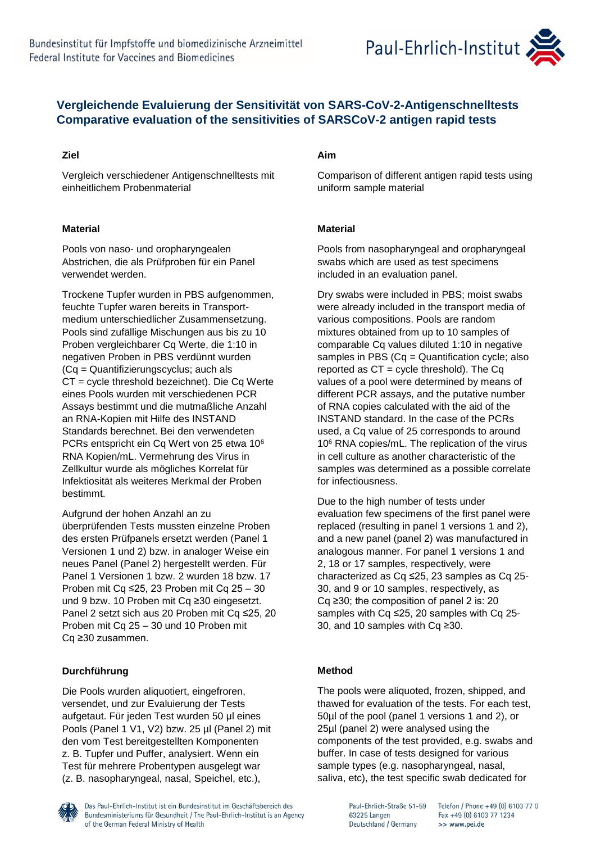

# **Vergleichende Evaluierung der Sensitivität von SARS-CoV-2-Antigenschnelltests Comparative evaluation of the sensitivities of SARSCoV-2 antigen rapid tests**

## **Ziel**

Vergleich verschiedener Antigenschnelltests mit einheitlichem Probenmaterial

## **Material**

Pools von naso- und oropharyngealen Abstrichen, die als Prüfproben für ein Panel verwendet werden.

Trockene Tupfer wurden in PBS aufgenommen, feuchte Tupfer waren bereits in Transportmedium unterschiedlicher Zusammensetzung. Pools sind zufällige Mischungen aus bis zu 10 Proben vergleichbarer Cq Werte, die 1:10 in negativen Proben in PBS verdünnt wurden (Cq = Quantifizierungscyclus; auch als CT = cycle threshold bezeichnet). Die Cq Werte eines Pools wurden mit verschiedenen PCR Assays bestimmt und die mutmaßliche Anzahl an RNA-Kopien mit Hilfe des INSTAND Standards berechnet. Bei den verwendeten PCRs entspricht ein Cq Wert von 25 etwa 10<sup>6</sup> RNA Kopien/mL. Vermehrung des Virus in Zellkultur wurde als mögliches Korrelat für Infektiosität als weiteres Merkmal der Proben bestimmt.

Aufgrund der hohen Anzahl an zu überprüfenden Tests mussten einzelne Proben des ersten Prüfpanels ersetzt werden (Panel 1 Versionen 1 und 2) bzw. in analoger Weise ein neues Panel (Panel 2) hergestellt werden. Für Panel 1 Versionen 1 bzw. 2 wurden 18 bzw. 17 Proben mit Cq ≤25, 23 Proben mit Cq 25 – 30 und 9 bzw. 10 Proben mit Cq ≥30 eingesetzt. Panel 2 setzt sich aus 20 Proben mit Cq ≤25, 20 Proben mit Cq 25 – 30 und 10 Proben mit Cq ≥30 zusammen.

## **Durchführung**

Die Pools wurden aliquotiert, eingefroren, versendet, und zur Evaluierung der Tests aufgetaut. Für jeden Test wurden 50 μl eines Pools (Panel 1 V1, V2) bzw. 25 µl (Panel 2) mit den vom Test bereitgestellten Komponenten z. B. Tupfer und Puffer, analysiert. Wenn ein Test für mehrere Probentypen ausgelegt war (z. B. nasopharyngeal, nasal, Speichel, etc.),

## **Aim**

Comparison of different antigen rapid tests using uniform sample material

## **Material**

Pools from nasopharyngeal and oropharyngeal swabs which are used as test specimens included in an evaluation panel.

Dry swabs were included in PBS; moist swabs were already included in the transport media of various compositions. Pools are random mixtures obtained from up to 10 samples of comparable Cq values diluted 1:10 in negative samples in PBS (Cq = Quantification cycle; also reported as  $CT = cycle$  threshold). The Cq values of a pool were determined by means of different PCR assays, and the putative number of RNA copies calculated with the aid of the INSTAND standard. In the case of the PCRs used, a Cq value of 25 corresponds to around 10<sup>6</sup> RNA copies/mL. The replication of the virus in cell culture as another characteristic of the samples was determined as a possible correlate for infectiousness.

Due to the high number of tests under evaluation few specimens of the first panel were replaced (resulting in panel 1 versions 1 and 2), and a new panel (panel 2) was manufactured in analogous manner. For panel 1 versions 1 and 2, 18 or 17 samples, respectively, were characterized as Cq ≤25, 23 samples as Cq 25- 30, and 9 or 10 samples, respectively, as Cq ≥30; the composition of panel 2 is: 20 samples with Cq ≤25, 20 samples with Cq 25- 30, and 10 samples with Cq ≥30.

## **Method**

The pools were aliquoted, frozen, shipped, and thawed for evaluation of the tests. For each test, 50µl of the pool (panel 1 versions 1 and 2), or 25µl (panel 2) were analysed using the components of the test provided, e.g. swabs and buffer. In case of tests designed for various sample types (e.g. nasopharyngeal, nasal, saliva, etc), the test specific swab dedicated for



Das Paul-Ehrlich-Institut ist ein Bundesinstitut im Geschäftsbereich des Bundesministeriums für Gesundheit / The Paul-Ehrlich-Institut is an Agency of the German Federal Ministry of Health

Paul-Ehrlich-Straße 51-59 63225 Langen Deutschland / Germany

Telefon / Phone +49 (0) 6103 77 0 Fax +49 (0) 6103 77 1234 >> www.pei.de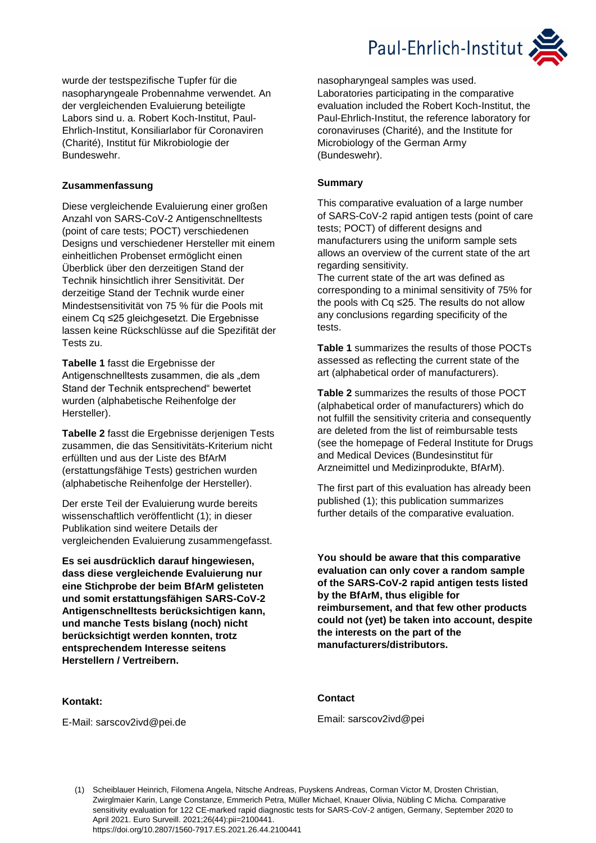

wurde der testspezifische Tupfer für die nasopharyngeale Probennahme verwendet. An der vergleichenden Evaluierung beteiligte Labors sind u. a. Robert Koch-Institut, Paul-Ehrlich-Institut, Konsiliarlabor für Coronaviren (Charité), Institut für Mikrobiologie der Bundeswehr.

#### **Zusammenfassung**

Diese vergleichende Evaluierung einer großen Anzahl von SARS-CoV-2 Antigenschnelltests (point of care tests; POCT) verschiedenen Designs und verschiedener Hersteller mit einem einheitlichen Probenset ermöglicht einen Überblick über den derzeitigen Stand der Technik hinsichtlich ihrer Sensitivität. Der derzeitige Stand der Technik wurde einer Mindestsensitivität von 75 % für die Pools mit einem Cq ≤25 gleichgesetzt. Die Ergebnisse lassen keine Rückschlüsse auf die Spezifität der Tests zu.

**Tabelle 1** fasst die Ergebnisse der Antigenschnelltests zusammen, die als "dem Stand der Technik entsprechend" bewertet wurden (alphabetische Reihenfolge der Hersteller).

**Tabelle 2** fasst die Ergebnisse derjenigen Tests zusammen, die das Sensitivitäts-Kriterium nicht erfüllten und aus der Liste des BfArM (erstattungsfähige Tests) gestrichen wurden (alphabetische Reihenfolge der Hersteller).

Der erste Teil der Evaluierung wurde bereits wissenschaftlich veröffentlicht (1); in dieser Publikation sind weitere Details der vergleichenden Evaluierung zusammengefasst.

**Es sei ausdrücklich darauf hingewiesen, dass diese vergleichende Evaluierung nur eine Stichprobe der beim BfArM gelisteten und somit erstattungsfähigen SARS-CoV-2 Antigenschnelltests berücksichtigen kann, und manche Tests bislang (noch) nicht berücksichtigt werden konnten, trotz entsprechendem Interesse seitens Herstellern / Vertreibern.** 

### **Kontakt:**

E-Mail: sarscov2ivd@pei.de

nasopharyngeal samples was used. Laboratories participating in the comparative evaluation included the Robert Koch-Institut, the Paul-Ehrlich-Institut, the reference laboratory for coronaviruses (Charité), and the Institute for Microbiology of the German Army (Bundeswehr).

#### **Summary**

This comparative evaluation of a large number of SARS-CoV-2 rapid antigen tests (point of care tests; POCT) of different designs and manufacturers using the uniform sample sets allows an overview of the current state of the art regarding sensitivity.

The current state of the art was defined as corresponding to a minimal sensitivity of 75% for the pools with Cq ≤25. The results do not allow any conclusions regarding specificity of the tests.

**Table 1** summarizes the results of those POCTs assessed as reflecting the current state of the art (alphabetical order of manufacturers).

**Table 2** summarizes the results of those POCT (alphabetical order of manufacturers) which do not fulfill the sensitivity criteria and consequently are deleted from the list of reimbursable tests (see the homepage of Federal Institute for Drugs and Medical Devices (Bundesinstitut für Arzneimittel und Medizinprodukte, BfArM).

The first part of this evaluation has already been published (1); this publication summarizes further details of the comparative evaluation.

**You should be aware that this comparative evaluation can only cover a random sample of the SARS-CoV-2 rapid antigen tests listed by the BfArM, thus eligible for reimbursement, and that few other products could not (yet) be taken into account, despite the interests on the part of the manufacturers/distributors.**

### **Contact**

Email: sarscov2ivd@pei

(1) Scheiblauer Heinrich, Filomena Angela, Nitsche Andreas, Puyskens Andreas, Corman Victor M, Drosten Christian, Zwirglmaier Karin, Lange Constanze, Emmerich Petra, Müller Michael, Knauer Olivia, Nübling C Micha. Comparative sensitivity evaluation for 122 CE-marked rapid diagnostic tests for SARS-CoV-2 antigen, Germany, September 2020 to April 2021. Euro Surveill. 2021;26(44):pii=2100441. https://doi.org/10.2807/1560-7917.ES.2021.26.44.2100441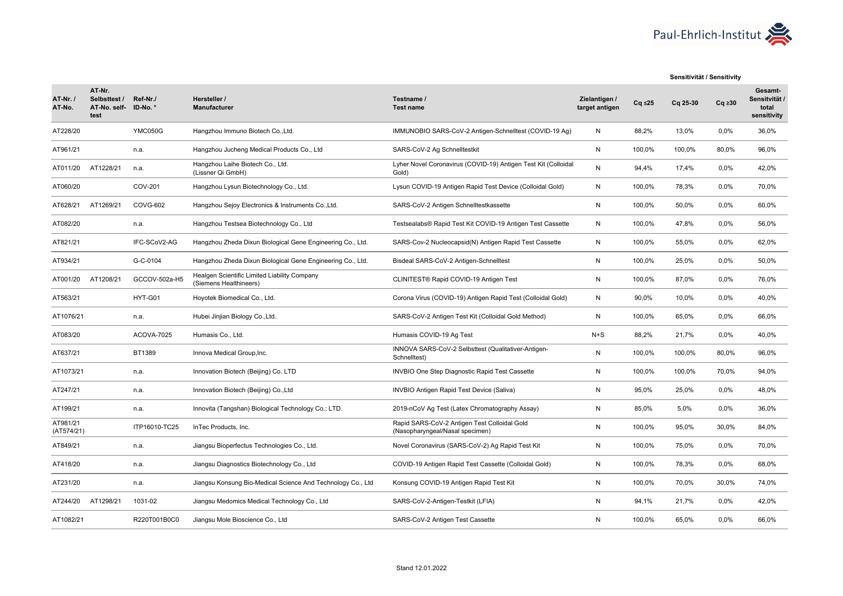

#### **Sensitivität / Sensitivity**

| <b>AT-Nr. /</b><br>AT-No. | AT-Nr.<br>Selbsttest /<br>AT-No. self-<br>test | Ref-Nr./<br>ID-No.* | Hersteller /<br><b>Manufacturer</b>                                    | Testname /<br><b>Test name</b>                                                  | Zielantigen /<br>target antigen | $Cq \leq 25$ | Cq 25-30 | $Cq \geq 30$ | Gesamt-<br>Sensitvität /<br>total<br>sensitivity |
|---------------------------|------------------------------------------------|---------------------|------------------------------------------------------------------------|---------------------------------------------------------------------------------|---------------------------------|--------------|----------|--------------|--------------------------------------------------|
| AT228/20                  |                                                | <b>YMC050G</b>      | Hangzhou Immuno Biotech Co., Ltd.                                      | IMMUNOBIO SARS-CoV-2 Antigen-Schnelltest (COVID-19 Ag)                          | N                               | 88,2%        | 13,0%    | 0,0%         | 36,0%                                            |
| AT961/21                  |                                                | n.a.                | Hangzhou Jucheng Medical Products Co., Ltd                             | SARS-CoV-2 Ag Schnelltestkit                                                    | N                               | 100,0%       | 100.0%   | 80,0%        | 96,0%                                            |
| AT011/20                  | AT1228/21                                      | n.a.                | Hangzhou Laihe Biotech Co., Ltd.<br>(Lissner Qi GmbH)                  | Lyher Novel Coronavirus (COVID-19) Antigen Test Kit (Colloidal<br>Gold)         | N                               | 94,4%        | 17,4%    | 0,0%         | 42,0%                                            |
| AT060/20                  |                                                | COV-201             | Hangzhou Lysun Biotechnology Co., Ltd.                                 | Lysun COVID-19 Antigen Rapid Test Device (Colloidal Gold)                       | N                               | 100.0%       | 78,3%    | 0,0%         | 70,0%                                            |
| AT628/21                  | AT1269/21                                      | COVG-602            | Hangzhou Sejoy Electronics & Instruments Co., Ltd.                     | SARS-CoV-2 Antigen Schnelltestkassette                                          | N                               | 100,0%       | 50,0%    | 0.0%         | 60,0%                                            |
| AT082/20                  |                                                | n.a.                | Hangzhou Testsea Biotechnology Co., Ltd                                | Testsealabs® Rapid Test Kit COVID-19 Antigen Test Cassette                      | N                               | 100,0%       | 47,8%    | 0,0%         | 56,0%                                            |
| AT821/21                  |                                                | IFC-SCoV2-AG        | Hangzhou Zheda Dixun Biological Gene Engineering Co., Ltd.             | SARS-Cov-2 Nucleocapsid(N) Antigen Rapid Test Cassette                          | N                               | 100,0%       | 55,0%    | 0,0%         | 62,0%                                            |
| AT934/21                  |                                                | G-C-0104            | Hangzhou Zheda Dixun Biological Gene Engineering Co., Ltd.             | Bisdeal SARS-CoV-2 Antigen-Schnelltest                                          | N                               | 100,0%       | 25,0%    | 0,0%         | 50,0%                                            |
| AT001/20                  | AT1208/21                                      | GCCOV-502a-H5       | Healgen Scientific Limited Liability Company<br>(Siemens Healthineers) | CLINITEST® Rapid COVID-19 Antigen Test                                          | N                               | 100,0%       | 87,0%    | 0,0%         | 76,0%                                            |
| AT563/21                  |                                                | HYT-G01             | Hoyotek Biomedical Co., Ltd.                                           | Corona Virus (COVID-19) Antigen Rapid Test (Colloidal Gold)                     | N                               | 90,0%        | 10,0%    | 0.0%         | 40,0%                                            |
| AT1076/21                 |                                                | n.a.                | Hubei Jinjian Biology Co., Ltd.                                        | SARS-CoV-2 Antigen Test Kit (Colloidal Gold Method)                             | N                               | 100.0%       | 65.0%    | 0,0%         | 66.0%                                            |
| AT083/20                  |                                                | ACOVA-7025          | Humasis Co., Ltd.                                                      | Humasis COVID-19 Ag Test                                                        | $N+S$                           | 88,2%        | 21,7%    | 0,0%         | 40,0%                                            |
| AT637/21                  |                                                | BT1389              | Innova Medical Group, Inc.                                             | INNOVA SARS-CoV-2 Selbsttest (Qualitativer-Antigen-<br>Schnelltest)             | N                               | 100,0%       | 100,0%   | 80,0%        | 96,0%                                            |
| AT1073/21                 |                                                | n.a.                | Innovation Biotech (Beijing) Co. LTD                                   | <b>INVBIO One Step Diagnostic Rapid Test Cassette</b>                           | N                               | 100,0%       | 100,0%   | 70,0%        | 94,0%                                            |
| AT247/21                  |                                                | n.a.                | Innovation Biotech (Beijing) Co., Ltd                                  | INVBIO Antigen Rapid Test Device (Saliva)                                       | N                               | 95,0%        | 25,0%    | 0.0%         | 48,0%                                            |
| AT199/21                  |                                                | n.a.                | Innovita (Tangshan) Biological Technology Co.; LTD.                    | 2019-nCoV Ag Test (Latex Chromatography Assay)                                  | N                               | 85,0%        | 5,0%     | 0,0%         | 36,0%                                            |
| AT981/21<br>(AT574/21)    |                                                | ITP16010-TC25       | InTec Products, Inc.                                                   | Rapid SARS-CoV-2 Antigen Test Colloidal Gold<br>(Nasopharyngeal/Nasal specimen) | N                               | 100,0%       | 95,0%    | 30,0%        | 84,0%                                            |
| AT849/21                  |                                                | n.a.                | Jiangsu Bioperfectus Technologies Co., Ltd.                            | Novel Coronavirus (SARS-CoV-2) Ag Rapid Test Kit                                | N                               | 100,0%       | 75,0%    | 0,0%         | 70,0%                                            |
| AT418/20                  |                                                | n.a.                | Jiangsu Diagnostics Biotechnology Co., Ltd                             | COVID-19 Antigen Rapid Test Cassette (Colloidal Gold)                           | N                               | 100,0%       | 78,3%    | 0,0%         | 68,0%                                            |
| AT231/20                  |                                                | n.a.                | Jiangsu Konsung Bio-Medical Science And Technology Co., Ltd            | Konsung COVID-19 Antigen Rapid Test Kit                                         | N                               | 100,0%       | 70,0%    | 30,0%        | 74,0%                                            |
| AT244/20                  | AT1298/21                                      | 1031-02             | Jiangsu Medomics Medical Technology Co., Ltd                           | SARS-CoV-2-Antigen-Testkit (LFIA)                                               | N                               | 94,1%        | 21,7%    | 0,0%         | 42,0%                                            |
| AT1082/21                 |                                                | R220T001B0C0        | Jiangsu Mole Bioscience Co., Ltd                                       | SARS-CoV-2 Antigen Test Cassette                                                | N                               | 100,0%       | 65,0%    | 0,0%         | 66,0%                                            |